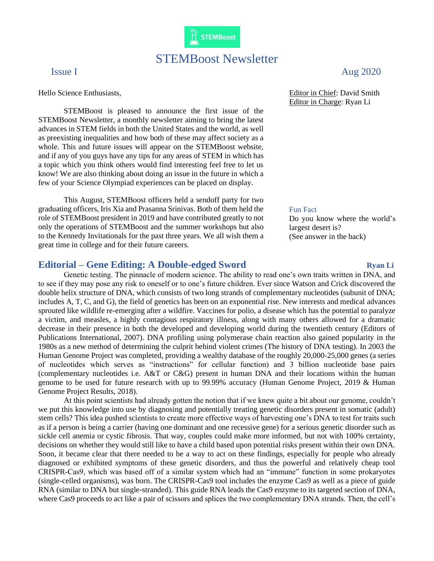

# STEMBoost Newsletter

Hello Science Enthusiasts,

STEMBoost is pleased to announce the first issue of the STEMBoost Newsletter, a monthly newsletter aiming to bring the latest advances in STEM fields in both the United States and the world, as well as preexisting inequalities and how both of these may affect society as a whole. This and future issues will appear on the STEMBoost website, and if any of you guys have any tips for any areas of STEM in which has a topic which you think others would find interesting feel free to let us know! We are also thinking about doing an issue in the future in which a few of your Science Olympiad experiences can be placed on display.

This August, STEMBoost officers held a sendoff party for two graduating officers, Iris Xia and Prasanna Srinivas. Both of them held the role of STEMBoost president in 2019 and have contributed greatly to not only the operations of STEMBoost and the summer workshops but also to the Kennedy Invitationals for the past three years. We all wish them a great time in college and for their future careers.

## **Editorial – Gene Editing: A Double-edged Sword Ryan Li**

Genetic testing. The pinnacle of modern science. The ability to read one's own traits written in DNA, and to see if they may pose any risk to oneself or to one's future children. Ever since Watson and Crick discovered the double helix structure of DNA, which consists of two long strands of complementary nucleotides (subunit of DNA; includes A, T, C, and G), the field of genetics has been on an exponential rise. New interests and medical advances sprouted like wildlife re-emerging after a wildfire. Vaccines for polio, a disease which has the potential to paralyze a victim, and measles, a highly contagious respiratory illness, along with many others allowed for a dramatic decrease in their presence in both the developed and developing world during the twentieth century (Editors of Publications International, 2007). DNA profiling using polymerase chain reaction also gained popularity in the 1980s as a new method of determining the culprit behind violent crimes (The history of DNA testing). In 2003 the Human Genome Project was completed, providing a wealthy database of the roughly 20,000-25,000 genes (a series of nucleotides which serves as "instructions" for cellular function) and 3 billion nucleotide base pairs (complementary nucleotides i.e. A&T or C&G) present in human DNA and their locations within the human genome to be used for future research with up to 99.99% accuracy (Human Genome Project, 2019 & Human Genome Project Results, 2018).

At this point scientists had already gotten the notion that if we knew quite a bit about our genome, couldn't we put this knowledge into use by diagnosing and potentially treating genetic disorders present in somatic (adult) stem cells? This idea pushed scientists to create more effective ways of harvesting one's DNA to test for traits such as if a person is being a carrier (having one dominant and one recessive gene) for a serious genetic disorder such as sickle cell anemia or cystic fibrosis. That way, couples could make more informed, but not with 100% certainty, decisions on whether they would still like to have a child based upon potential risks present within their own DNA. Soon, it became clear that there needed to be a way to act on these findings, especially for people who already diagnosed or exhibited symptoms of these genetic disorders, and thus the powerful and relatively cheap tool CRISPR-Cas9, which was based off of a similar system which had an "immune" function in some prokaryotes (single-celled organisms), was born. The CRISPR-Cas9 tool includes the enzyme Cas9 as well as a piece of guide RNA (similar to DNA but single-stranded). This guide RNA leads the Cas9 enzyme to its targeted section of DNA, where Cas9 proceeds to act like a pair of scissors and splices the two complementary DNA strands. Then, the cell's

## Issue I and the same of the same of the same of the same of the same  $\Delta u$  and  $\Delta 2020$

Editor in Chief: David Smith Editor in Charge: Ryan Li

### Fun Fact

Do you know where the world's largest desert is? (See answer in the back)